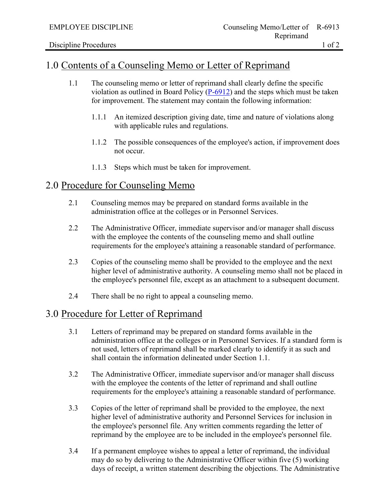Reprimand

## 1.0 Contents of a Counseling Memo or Letter of Reprimand

- 1.1 The counseling memo or letter of reprimand shall clearly define the specific violation as outlined in Board Policy [\(P-6912\)](https://losrios.edu/docs/lrccd/board/policies/P-6912.pdf) and the steps which must be taken for improvement. The statement may contain the following information:
	- 1.1.1 An itemized description giving date, time and nature of violations along with applicable rules and regulations.
	- 1.1.2 The possible consequences of the employee's action, if improvement does not occur.
	- 1.1.3 Steps which must be taken for improvement.

## 2.0 Procedure for Counseling Memo

- 2.1 Counseling memos may be prepared on standard forms available in the administration office at the colleges or in Personnel Services.
- 2.2 The Administrative Officer, immediate supervisor and/or manager shall discuss with the employee the contents of the counseling memo and shall outline requirements for the employee's attaining a reasonable standard of performance.
- 2.3 Copies of the counseling memo shall be provided to the employee and the next higher level of administrative authority. A counseling memo shall not be placed in the employee's personnel file, except as an attachment to a subsequent document.
- 2.4 There shall be no right to appeal a counseling memo.

## 3.0 Procedure for Letter of Reprimand

- 3.1 Letters of reprimand may be prepared on standard forms available in the administration office at the colleges or in Personnel Services. If a standard form is not used, letters of reprimand shall be marked clearly to identify it as such and shall contain the information delineated under Section 1.1.
- 3.2 The Administrative Officer, immediate supervisor and/or manager shall discuss with the employee the contents of the letter of reprimand and shall outline requirements for the employee's attaining a reasonable standard of performance.
- 3.3 Copies of the letter of reprimand shall be provided to the employee, the next higher level of administrative authority and Personnel Services for inclusion in the employee's personnel file. Any written comments regarding the letter of reprimand by the employee are to be included in the employee's personnel file.
- 3.4 If a permanent employee wishes to appeal a letter of reprimand, the individual may do so by delivering to the Administrative Officer within five (5) working days of receipt, a written statement describing the objections. The Administrative